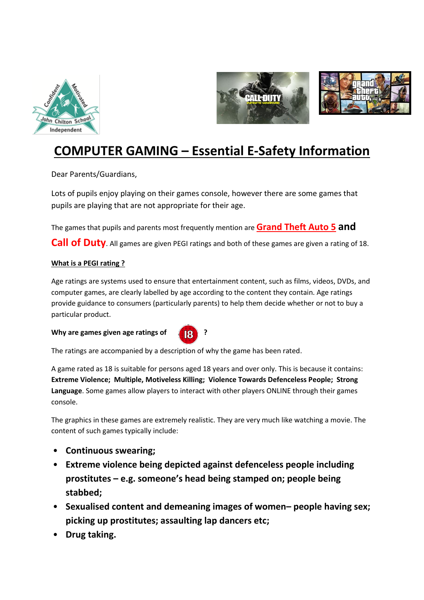



## **COMPUTER GAMING – Essential E-Safety Information**

Dear Parents/Guardians,

Lots of pupils enjoy playing on their games console, however there are some games that pupils are playing that are not appropriate for their age.

The games that pupils and parents most frequently mention are **Grand Theft Auto 5 and** 

**Call of Duty**. All games are given PEGI ratings and both of these games are given a rating of 18.

## **What is a PEGI rating ?**

Age ratings are systems used to ensure that entertainment content, such as films, videos, DVDs, and computer games, are clearly labelled by age according to the content they contain. Age ratings provide guidance to consumers (particularly parents) to help them decide whether or not to buy a particular product.

## **Why are games given age ratings of 2.2.2.3.3.3.**



The ratings are accompanied by a description of why the game has been rated.

A game rated as 18 is suitable for persons aged 18 years and over only. This is because it contains: **Extreme Violence; Multiple, Motiveless Killing; Violence Towards Defenceless People; Strong Language**. Some games allow players to interact with other players ONLINE through their games console.

The graphics in these games are extremely realistic. They are very much like watching a movie. The content of such games typically include:

- **Continuous swearing;**
- **Extreme violence being depicted against defenceless people including prostitutes – e.g. someone's head being stamped on; people being stabbed;**
- **Sexualised content and demeaning images of women– people having sex; picking up prostitutes; assaulting lap dancers etc;**
- **Drug taking.**